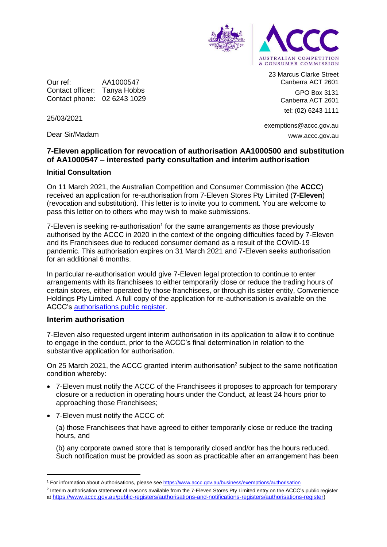

Our ref: AA1000547 Contact officer: Tanya Hobbs Contact phone: 02 6243 1029 23 Marcus Clarke Street Canberra ACT 2601 GPO Box 3131

Canberra ACT 2601 tel: (02) 6243 1111

25/03/2021

Dear Sir/Madam

exemptions@accc.gov.au www.accc.gov.au

# **7-Eleven application for revocation of authorisation AA1000500 and substitution of AA1000547 – interested party consultation and interim authorisation**

## **Initial Consultation**

On 11 March 2021, the Australian Competition and Consumer Commission (the **ACCC**) received an application for re-authorisation from 7-Eleven Stores Pty Limited (**7-Eleven**) (revocation and substitution). This letter is to invite you to comment. You are welcome to pass this letter on to others who may wish to make submissions.

 $7$ -Eleven is seeking re-authorisation<sup>1</sup> for the same arrangements as those previously authorised by the ACCC in 2020 in the context of the ongoing difficulties faced by 7-Eleven and its Franchisees due to reduced consumer demand as a result of the COVID-19 pandemic. This authorisation expires on 31 March 2021 and 7-Eleven seeks authorisation for an additional 6 months.

In particular re-authorisation would give 7-Eleven legal protection to continue to enter arrangements with its franchisees to either temporarily close or reduce the trading hours of certain stores, either operated by those franchisees, or through its sister entity, Convenience Holdings Pty Limited. A full copy of the application for re-authorisation is available on the ACCC's [authorisations public register.](https://www.accc.gov.au/public-registers/authorisations-and-notifications-registers/authorisations-register)

#### **Interim authorisation**

-

7-Eleven also requested urgent interim authorisation in its application to allow it to continue to engage in the conduct, prior to the ACCC's final determination in relation to the substantive application for authorisation.

On 25 March 2021, the ACCC granted interim authorisation<sup>2</sup> subject to the same notification condition whereby:

- 7-Eleven must notify the ACCC of the Franchisees it proposes to approach for temporary closure or a reduction in operating hours under the Conduct, at least 24 hours prior to approaching those Franchisees;
- 7-Eleven must notify the ACCC of:

(a) those Franchisees that have agreed to either temporarily close or reduce the trading hours, and

(b) any corporate owned store that is temporarily closed and/or has the hours reduced. Such notification must be provided as soon as practicable after an arrangement has been

<sup>1</sup> For information about Authorisations, please se[e https://www.accc.gov.au/business/exemptions/authorisation](https://www.accc.gov.au/business/exemptions/authorisation)

<sup>&</sup>lt;sup>2</sup> Interim authorisation statement of reasons available from the 7-Eleven Stores Pty Limited entry on the ACCC's public register at [https://www.accc.gov.au/public-registers/authorisations-and-notifications-registers/authorisations-register\)](https://www.accc.gov.au/public-registers/authorisations-and-notifications-registers/authorisations-register)